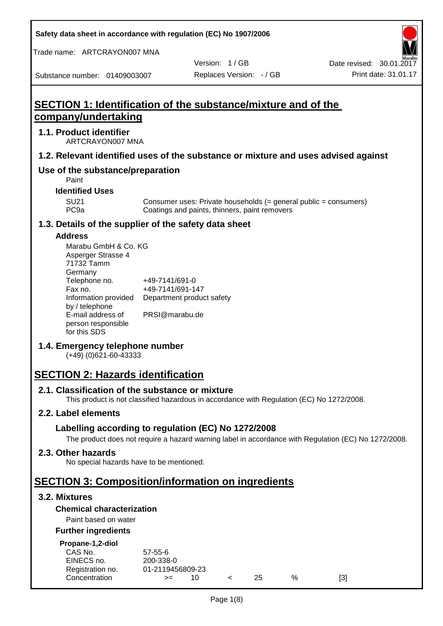**Safety data sheet in accordance with regulation (EC) No 1907/2006**

Trade name: ARTCRAYON007 MNA

Version: 1 / GB

Substance number: 01409003007

# **SECTION 1: Identification of the substance/mixture and of the company/undertaking**

## **1.1. Product identifier**

ARTCRAYON007 MNA

## **1.2. Relevant identified uses of the substance or mixture and uses advised against**

# **Use of the substance/preparation**

Paint

**Identified Uses**

SU21 Consumer uses: Private households (= general public = consumers)<br>PC9a Coatings and paints, thinners, paint removers Coatings and paints, thinners, paint removers

#### **1.3. Details of the supplier of the safety data sheet**

#### **Address**

| Marabu GmbH & Co. KG |                           |
|----------------------|---------------------------|
| Asperger Strasse 4   |                           |
| 71732 Tamm           |                           |
| Germany              |                           |
| Telephone no.        | +49-7141/691-0            |
| Fax no.              | +49-7141/691-147          |
| Information provided | Department product safety |
| by / telephone       |                           |
| E-mail address of    | PRSI@marabu.de            |
| person responsible   |                           |
| for this SDS         |                           |

## **1.4. Emergency telephone number**

(+49) (0)621-60-43333

# **SECTION 2: Hazards identification**

#### **2.1. Classification of the substance or mixture**

This product is not classified hazardous in accordance with Regulation (EC) No 1272/2008.

## **2.2. Label elements**

## **Labelling according to regulation (EC) No 1272/2008**

The product does not require a hazard warning label in accordance with Regulation (EC) No 1272/2008.

#### **2.3. Other hazards**

No special hazards have to be mentioned.

# **SECTION 3: Composition/information on ingredients**

## **3.2. Mixtures**

## **Chemical characterization**

## Paint based on water

#### **Further ingredients**

| Propane-1,2-diol |  |
|------------------|--|
|                  |  |

| CAS No.          | $57 - 55 - 6$    |     |     |   |     |
|------------------|------------------|-----|-----|---|-----|
| EINECS no.       | 200-338-0        |     |     |   |     |
| Registration no. | 01-2119456809-23 |     |     |   |     |
| Concentration    | $>=$             | 10. | 25. | % | [3] |
|                  |                  |     |     |   |     |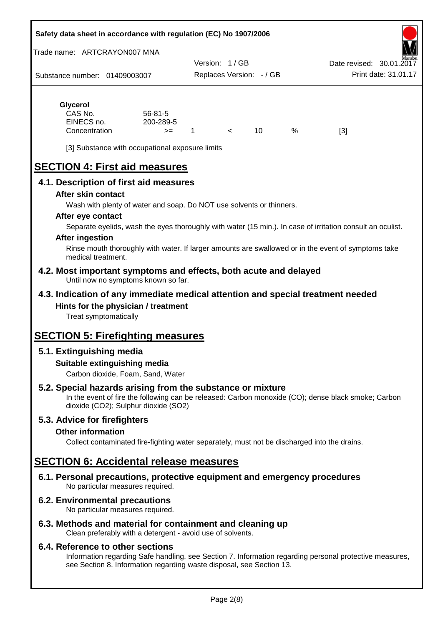#### **Safety data sheet in accordance with regulation (EC) No 1907/2006**

Trade name: ARTCRAYON007 MNA

Substance number: 01409003007 Version: 1 / GB Replaces Version: - / GB Print date: 31.01.17 Date revised: 30.01.2

# **Glycerol**

| CAS No.       | $56 - 81 - 5$ |  |    |   |     |
|---------------|---------------|--|----|---|-----|
| EINECS no.    | 200-289-5     |  |    |   |     |
| Concentration | $>=$          |  | 10 | % | [3] |

[3] Substance with occupational exposure limits

# **SECTION 4: First aid measures**

## **4.1. Description of first aid measures**

#### **After skin contact**

Wash with plenty of water and soap. Do NOT use solvents or thinners.

#### **After eye contact**

Separate eyelids, wash the eyes thoroughly with water (15 min.). In case of irritation consult an oculist.

#### **After ingestion**

Rinse mouth thoroughly with water. If larger amounts are swallowed or in the event of symptoms take medical treatment.

#### **4.2. Most important symptoms and effects, both acute and delayed** Until now no symptoms known so far.

## **4.3. Indication of any immediate medical attention and special treatment needed Hints for the physician / treatment**

Treat symptomatically

# **SECTION 5: Firefighting measures**

# **5.1. Extinguishing media**

## **Suitable extinguishing media**

Carbon dioxide, Foam, Sand, Water

# **5.2. Special hazards arising from the substance or mixture**

In the event of fire the following can be released: Carbon monoxide (CO); dense black smoke; Carbon dioxide (CO2); Sulphur dioxide (SO2)

## **5.3. Advice for firefighters**

#### **Other information**

Collect contaminated fire-fighting water separately, must not be discharged into the drains.

# **SECTION 6: Accidental release measures**

**6.1. Personal precautions, protective equipment and emergency procedures** No particular measures required.

## **6.2. Environmental precautions**

No particular measures required.

## **6.3. Methods and material for containment and cleaning up**

Clean preferably with a detergent - avoid use of solvents.

#### **6.4. Reference to other sections**

Information regarding Safe handling, see Section 7. Information regarding personal protective measures, see Section 8. Information regarding waste disposal, see Section 13.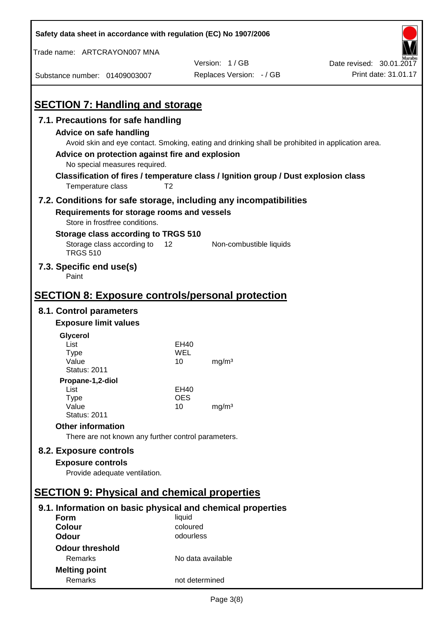| Safety data sheet in accordance with regulation (EC) No 1907/2006                                        |                       |                                                                                                   |                          |
|----------------------------------------------------------------------------------------------------------|-----------------------|---------------------------------------------------------------------------------------------------|--------------------------|
| Trade name: ARTCRAYON007 MNA                                                                             |                       |                                                                                                   |                          |
|                                                                                                          |                       | Version: 1/GB                                                                                     | Date revised: 30.01.2017 |
| Substance number: 01409003007                                                                            |                       | Replaces Version: - / GB                                                                          | Print date: 31.01.17     |
|                                                                                                          |                       |                                                                                                   |                          |
| <b>SECTION 7: Handling and storage</b>                                                                   |                       |                                                                                                   |                          |
| 7.1. Precautions for safe handling                                                                       |                       |                                                                                                   |                          |
| Advice on safe handling                                                                                  |                       |                                                                                                   |                          |
|                                                                                                          |                       | Avoid skin and eye contact. Smoking, eating and drinking shall be prohibited in application area. |                          |
| Advice on protection against fire and explosion                                                          |                       |                                                                                                   |                          |
| No special measures required.                                                                            |                       |                                                                                                   |                          |
| Classification of fires / temperature class / Ignition group / Dust explosion class<br>Temperature class | T <sub>2</sub>        |                                                                                                   |                          |
| 7.2. Conditions for safe storage, including any incompatibilities                                        |                       |                                                                                                   |                          |
|                                                                                                          |                       |                                                                                                   |                          |
| Requirements for storage rooms and vessels<br>Store in frostfree conditions.                             |                       |                                                                                                   |                          |
| Storage class according to TRGS 510                                                                      |                       |                                                                                                   |                          |
| Storage class according to                                                                               | 12                    | Non-combustible liquids                                                                           |                          |
| <b>TRGS 510</b>                                                                                          |                       |                                                                                                   |                          |
| 7.3. Specific end use(s)<br>Paint                                                                        |                       |                                                                                                   |                          |
|                                                                                                          |                       |                                                                                                   |                          |
| <b>SECTION 8: Exposure controls/personal protection</b>                                                  |                       |                                                                                                   |                          |
| 8.1. Control parameters                                                                                  |                       |                                                                                                   |                          |
| <b>Exposure limit values</b>                                                                             |                       |                                                                                                   |                          |
| Glycerol                                                                                                 |                       |                                                                                                   |                          |
| List                                                                                                     | EH40                  |                                                                                                   |                          |
| <b>Type</b><br>Value                                                                                     | WEL<br>10             | mg/m <sup>3</sup>                                                                                 |                          |
| <b>Status: 2011</b>                                                                                      |                       |                                                                                                   |                          |
| Propane-1,2-diol                                                                                         |                       |                                                                                                   |                          |
| List                                                                                                     | <b>EH40</b>           |                                                                                                   |                          |
| <b>Type</b><br>Value                                                                                     | <b>OES</b><br>10      | mg/m <sup>3</sup>                                                                                 |                          |
| <b>Status: 2011</b>                                                                                      |                       |                                                                                                   |                          |
| <b>Other information</b>                                                                                 |                       |                                                                                                   |                          |
| There are not known any further control parameters.                                                      |                       |                                                                                                   |                          |
| 8.2. Exposure controls                                                                                   |                       |                                                                                                   |                          |
| <b>Exposure controls</b>                                                                                 |                       |                                                                                                   |                          |
| Provide adequate ventilation.                                                                            |                       |                                                                                                   |                          |
|                                                                                                          |                       |                                                                                                   |                          |
| <b>SECTION 9: Physical and chemical properties</b>                                                       |                       |                                                                                                   |                          |
| 9.1. Information on basic physical and chemical properties                                               |                       |                                                                                                   |                          |
| <b>Form</b>                                                                                              | liquid                |                                                                                                   |                          |
| <b>Colour</b><br><b>Odour</b>                                                                            | coloured<br>odourless |                                                                                                   |                          |
|                                                                                                          |                       |                                                                                                   |                          |
| <b>Odour threshold</b><br>Remarks                                                                        | No data available     |                                                                                                   |                          |
| <b>Melting point</b>                                                                                     |                       |                                                                                                   |                          |
| Remarks                                                                                                  | not determined        |                                                                                                   |                          |
|                                                                                                          |                       |                                                                                                   |                          |

 $\mathbf{r}$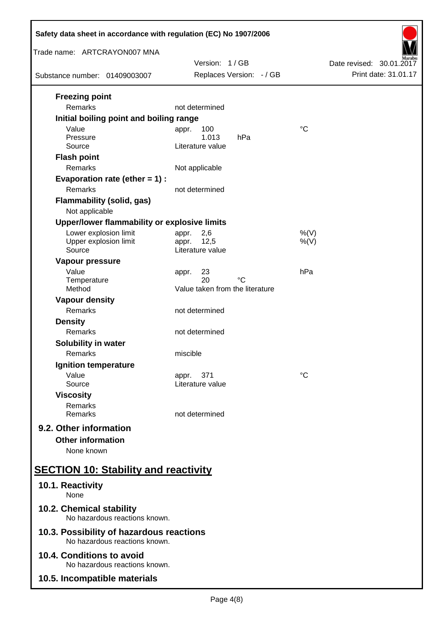| Safety data sheet in accordance with regulation (EC) No 1907/2006                                                           |                                                            |                          |  |  |
|-----------------------------------------------------------------------------------------------------------------------------|------------------------------------------------------------|--------------------------|--|--|
| Trade name: ARTCRAYON007 MNA                                                                                                | Version: 1/GB                                              | Date revised: 30.01.2017 |  |  |
| Substance number: 01409003007                                                                                               | Replaces Version: - / GB                                   | Print date: 31.01.17     |  |  |
| <b>Freezing point</b><br>Remarks                                                                                            | not determined                                             |                          |  |  |
| Initial boiling point and boiling range<br>Value<br>Pressure<br>Source                                                      | 100<br>appr.<br>1.013<br>hPa<br>Literature value           | $^{\circ}C$              |  |  |
| <b>Flash point</b><br>Remarks                                                                                               | Not applicable                                             |                          |  |  |
| Evaporation rate (ether $= 1$ ) :<br>Remarks<br><b>Flammability (solid, gas)</b>                                            | not determined                                             |                          |  |  |
| Not applicable                                                                                                              |                                                            |                          |  |  |
| Upper/lower flammability or explosive limits<br>Lower explosion limit<br>Upper explosion limit<br>Source<br>Vapour pressure | 2,6<br>appr.<br>12,5<br>appr.<br>Literature value          | $%$ (V)<br>$%$ (V)       |  |  |
| Value<br>Temperature<br>Method                                                                                              | 23<br>appr.<br>20<br>°C<br>Value taken from the literature | hPa                      |  |  |
| <b>Vapour density</b><br>Remarks                                                                                            | not determined                                             |                          |  |  |
| <b>Density</b><br>Remarks                                                                                                   | not determined                                             |                          |  |  |
| <b>Solubility in water</b><br>Remarks                                                                                       | miscible                                                   |                          |  |  |
| Ignition temperature<br>Value<br>Source                                                                                     | 371<br>appr.<br>Literature value                           | $^{\circ}C$              |  |  |
| <b>Viscosity</b><br>Remarks<br>Remarks                                                                                      | not determined                                             |                          |  |  |
| 9.2. Other information<br><b>Other information</b><br>None known                                                            |                                                            |                          |  |  |
| <b>SECTION 10: Stability and reactivity</b>                                                                                 |                                                            |                          |  |  |
| 10.1. Reactivity<br>None                                                                                                    |                                                            |                          |  |  |
| 10.2. Chemical stability<br>No hazardous reactions known.                                                                   |                                                            |                          |  |  |
| 10.3. Possibility of hazardous reactions<br>No hazardous reactions known.                                                   |                                                            |                          |  |  |
| 10.4. Conditions to avoid<br>No hazardous reactions known.                                                                  |                                                            |                          |  |  |
| 10.5. Incompatible materials                                                                                                |                                                            |                          |  |  |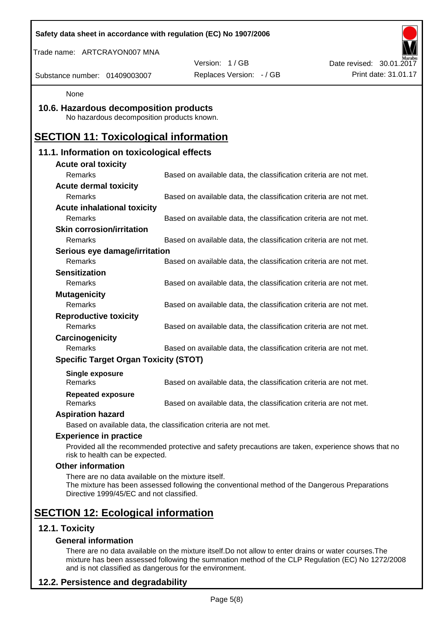| Safety data sheet in accordance with regulation (EC) No 1907/2006                              |                                                                                                    |                          |
|------------------------------------------------------------------------------------------------|----------------------------------------------------------------------------------------------------|--------------------------|
| Trade name: ARTCRAYON007 MNA                                                                   |                                                                                                    |                          |
|                                                                                                | Version: 1/GB                                                                                      | Date revised: 30.01.2017 |
| Substance number: 01409003007                                                                  | Replaces Version: - / GB                                                                           | Print date: 31.01.17     |
| None                                                                                           |                                                                                                    |                          |
| 10.6. Hazardous decomposition products<br>No hazardous decomposition products known.           |                                                                                                    |                          |
| <b>SECTION 11: Toxicological information</b>                                                   |                                                                                                    |                          |
| 11.1. Information on toxicological effects                                                     |                                                                                                    |                          |
| <b>Acute oral toxicity</b>                                                                     |                                                                                                    |                          |
| Remarks                                                                                        | Based on available data, the classification criteria are not met.                                  |                          |
| <b>Acute dermal toxicity</b>                                                                   |                                                                                                    |                          |
| Remarks                                                                                        | Based on available data, the classification criteria are not met.                                  |                          |
| <b>Acute inhalational toxicity</b>                                                             |                                                                                                    |                          |
| Remarks                                                                                        | Based on available data, the classification criteria are not met.                                  |                          |
| <b>Skin corrosion/irritation</b>                                                               |                                                                                                    |                          |
| <b>Remarks</b>                                                                                 | Based on available data, the classification criteria are not met.                                  |                          |
| Serious eye damage/irritation                                                                  |                                                                                                    |                          |
| Remarks                                                                                        | Based on available data, the classification criteria are not met.                                  |                          |
| <b>Sensitization</b>                                                                           |                                                                                                    |                          |
| Remarks                                                                                        | Based on available data, the classification criteria are not met.                                  |                          |
| <b>Mutagenicity</b>                                                                            |                                                                                                    |                          |
| Remarks                                                                                        | Based on available data, the classification criteria are not met.                                  |                          |
| <b>Reproductive toxicity</b>                                                                   |                                                                                                    |                          |
| Remarks                                                                                        | Based on available data, the classification criteria are not met.                                  |                          |
| Carcinogenicity                                                                                |                                                                                                    |                          |
| Remarks                                                                                        | Based on available data, the classification criteria are not met.                                  |                          |
| <b>Specific Target Organ Toxicity (STOT)</b>                                                   |                                                                                                    |                          |
| <b>Single exposure</b><br>Remarks                                                              | Based on available data, the classification criteria are not met.                                  |                          |
| <b>Repeated exposure</b><br>Remarks                                                            | Based on available data, the classification criteria are not met.                                  |                          |
| <b>Aspiration hazard</b>                                                                       |                                                                                                    |                          |
|                                                                                                | Based on available data, the classification criteria are not met.                                  |                          |
| <b>Experience in practice</b>                                                                  |                                                                                                    |                          |
| risk to health can be expected.                                                                | Provided all the recommended protective and safety precautions are taken, experience shows that no |                          |
| <b>Other information</b>                                                                       |                                                                                                    |                          |
| There are no data available on the mixture itself.<br>Directive 1999/45/EC and not classified. | The mixture has been assessed following the conventional method of the Dangerous Preparations      |                          |
| <b>SECTION 12: Ecological information</b>                                                      |                                                                                                    |                          |
| 12.1. Toxicity                                                                                 |                                                                                                    |                          |
| <b>General information</b>                                                                     |                                                                                                    |                          |

There are no data available on the mixture itself.Do not allow to enter drains or water courses.The mixture has been assessed following the summation method of the CLP Regulation (EC) No 1272/2008 and is not classified as dangerous for the environment.

# **12.2. Persistence and degradability**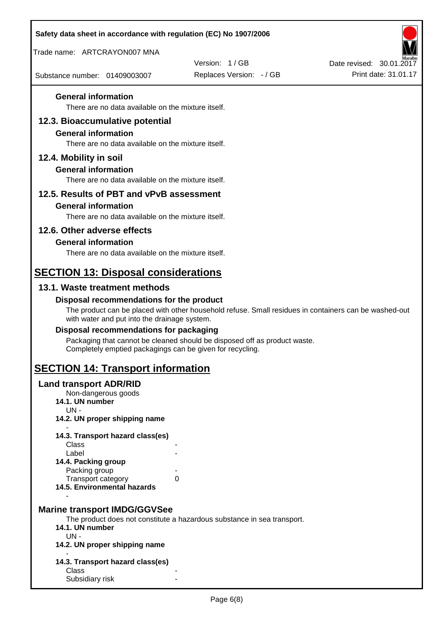| Safety data sheet in accordance with regulation (EC) No 1907/2006                                                   |                                                                                                       |                                                  |
|---------------------------------------------------------------------------------------------------------------------|-------------------------------------------------------------------------------------------------------|--------------------------------------------------|
| Trade name: ARTCRAYON007 MNA                                                                                        |                                                                                                       |                                                  |
| Substance number: 01409003007                                                                                       | Version: 1/GB<br>Replaces Version: - / GB                                                             | Date revised: 30.01.2017<br>Print date: 31.01.17 |
| <b>General information</b>                                                                                          |                                                                                                       |                                                  |
| There are no data available on the mixture itself.                                                                  |                                                                                                       |                                                  |
| 12.3. Bioaccumulative potential<br><b>General information</b><br>There are no data available on the mixture itself. |                                                                                                       |                                                  |
| 12.4. Mobility in soil                                                                                              |                                                                                                       |                                                  |
| <b>General information</b><br>There are no data available on the mixture itself.                                    |                                                                                                       |                                                  |
| 12.5. Results of PBT and vPvB assessment                                                                            |                                                                                                       |                                                  |
| <b>General information</b>                                                                                          |                                                                                                       |                                                  |
| There are no data available on the mixture itself.                                                                  |                                                                                                       |                                                  |
| 12.6. Other adverse effects                                                                                         |                                                                                                       |                                                  |
| <b>General information</b><br>There are no data available on the mixture itself.                                    |                                                                                                       |                                                  |
|                                                                                                                     |                                                                                                       |                                                  |
| <b>SECTION 13: Disposal considerations</b>                                                                          |                                                                                                       |                                                  |
| 13.1. Waste treatment methods                                                                                       |                                                                                                       |                                                  |
| Disposal recommendations for the product<br>with water and put into the drainage system.                            | The product can be placed with other household refuse. Small residues in containers can be washed-out |                                                  |
| Disposal recommendations for packaging                                                                              |                                                                                                       |                                                  |
| Completely emptied packagings can be given for recycling.                                                           | Packaging that cannot be cleaned should be disposed off as product waste.                             |                                                  |
| <b>SECTION 14: Transport information</b>                                                                            |                                                                                                       |                                                  |
| <b>Land transport ADR/RID</b><br>Non-dangerous goods<br>14.1. UN number<br>$UN -$                                   |                                                                                                       |                                                  |
| 14.2. UN proper shipping name                                                                                       |                                                                                                       |                                                  |
| 14.3. Transport hazard class(es)                                                                                    |                                                                                                       |                                                  |
| Class<br>Label                                                                                                      |                                                                                                       |                                                  |
| 14.4. Packing group                                                                                                 |                                                                                                       |                                                  |
| Packing group<br>Transport category                                                                                 | 0                                                                                                     |                                                  |
| 14.5. Environmental hazards                                                                                         |                                                                                                       |                                                  |
| <b>Marine transport IMDG/GGVSee</b><br>14.1. UN number<br>$UN -$<br>14.2. UN proper shipping name                   | The product does not constitute a hazardous substance in sea transport.                               |                                                  |
|                                                                                                                     |                                                                                                       |                                                  |
| 14.3. Transport hazard class(es)<br>Class                                                                           |                                                                                                       |                                                  |
| Subsidiary risk                                                                                                     |                                                                                                       |                                                  |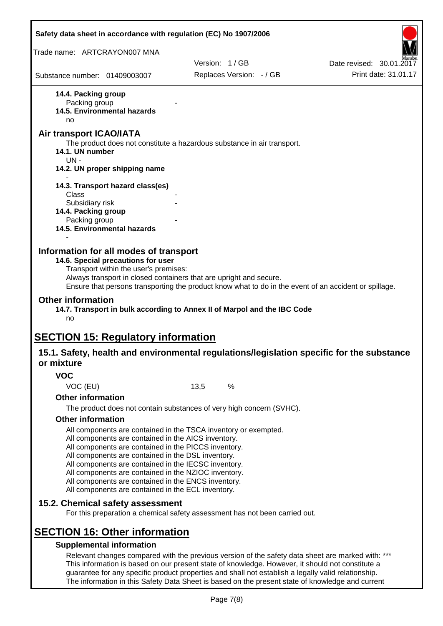|                                                                                                                                                                 | Safety data sheet in accordance with regulation (EC) No 1907/2006                                                                                                                                                                                                                                                                                    |                          |
|-----------------------------------------------------------------------------------------------------------------------------------------------------------------|------------------------------------------------------------------------------------------------------------------------------------------------------------------------------------------------------------------------------------------------------------------------------------------------------------------------------------------------------|--------------------------|
| Trade name: ARTCRAYON007 MNA                                                                                                                                    |                                                                                                                                                                                                                                                                                                                                                      |                          |
|                                                                                                                                                                 | Version: 1/GB                                                                                                                                                                                                                                                                                                                                        | Date revised: 30.01.2017 |
| Substance number: 01409003007                                                                                                                                   | Replaces Version: - / GB                                                                                                                                                                                                                                                                                                                             | Print date: 31.01.17     |
| 14.4. Packing group<br>Packing group<br>14.5. Environmental hazards<br>no                                                                                       |                                                                                                                                                                                                                                                                                                                                                      |                          |
| Air transport ICAO/IATA<br>14.1. UN number<br>$UN -$                                                                                                            | The product does not constitute a hazardous substance in air transport.                                                                                                                                                                                                                                                                              |                          |
| 14.2. UN proper shipping name                                                                                                                                   |                                                                                                                                                                                                                                                                                                                                                      |                          |
| 14.3. Transport hazard class(es)<br>Class                                                                                                                       |                                                                                                                                                                                                                                                                                                                                                      |                          |
| Subsidiary risk<br>14.4. Packing group<br>Packing group<br><b>14.5. Environmental hazards</b>                                                                   |                                                                                                                                                                                                                                                                                                                                                      |                          |
| Transport within the user's premises:<br><b>Other information</b><br>no<br><b>SECTION 15: Regulatory information</b>                                            | Always transport in closed containers that are upright and secure.<br>Ensure that persons transporting the product know what to do in the event of an accident or spillage.<br>14.7. Transport in bulk according to Annex II of Marpol and the IBC Code<br>15.1. Safety, health and environmental regulations/legislation specific for the substance |                          |
| or mixture                                                                                                                                                      |                                                                                                                                                                                                                                                                                                                                                      |                          |
| <b>VOC</b>                                                                                                                                                      |                                                                                                                                                                                                                                                                                                                                                      |                          |
| VOC (EU)                                                                                                                                                        | 13,5<br>%                                                                                                                                                                                                                                                                                                                                            |                          |
| <b>Other information</b>                                                                                                                                        |                                                                                                                                                                                                                                                                                                                                                      |                          |
| <b>Other information</b>                                                                                                                                        | The product does not contain substances of very high concern (SVHC).                                                                                                                                                                                                                                                                                 |                          |
| All components are contained in the AICS inventory.<br>All components are contained in the DSL inventory.<br>All components are contained in the ECL inventory. | All components are contained in the TSCA inventory or exempted.<br>All components are contained in the PICCS inventory.<br>All components are contained in the IECSC inventory.<br>All components are contained in the NZIOC inventory.<br>All components are contained in the ENCS inventory.                                                       |                          |
| 15.2. Chemical safety assessment                                                                                                                                | For this preparation a chemical safety assessment has not been carried out.                                                                                                                                                                                                                                                                          |                          |
| <b>SECTION 16: Other information</b><br><b>Supplemental information</b>                                                                                         | Relevant changes compared with the previous version of the safety data sheet are marked with: ***<br>This information is based on our present state of knowledge. However, it should not constitute a<br>guarantee for any specific product properties and shall not establish a legally valid relationship.                                         |                          |

The information in this Safety Data Sheet is based on the present state of knowledge and current